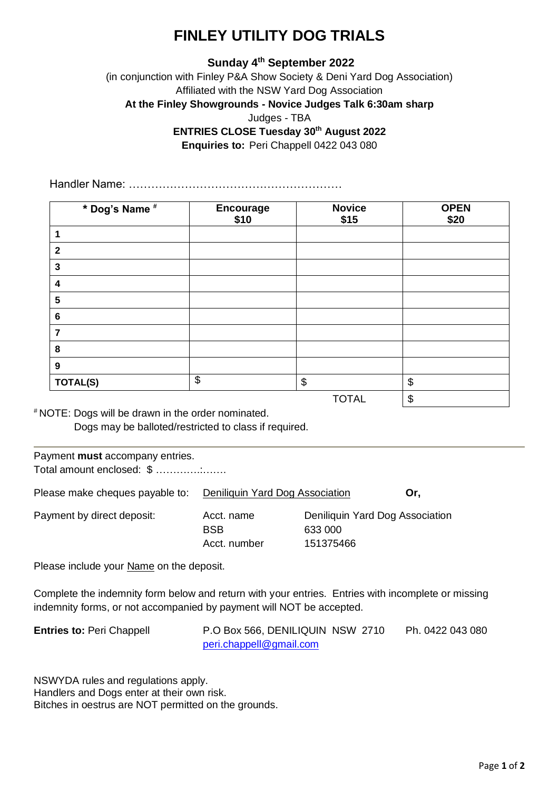## **FINLEY UTILITY DOG TRIALS**

## **Sunday 4 th September 2022**

(in conjunction with Finley P&A Show Society & Deni Yard Dog Association) Affiliated with the NSW Yard Dog Association **At the Finley Showgrounds - Novice Judges Talk 6:30am sharp** Judges - TBA **ENTRIES CLOSE Tuesday 30th August 2022 Enquiries to:** Peri Chappell 0422 043 080

Handler Name: …………………………………………………

| * Dog's Name #          | <b>Encourage</b><br>\$10 | <b>Novice</b><br>\$15 | <b>OPEN</b><br>\$20   |
|-------------------------|--------------------------|-----------------------|-----------------------|
| 1                       |                          |                       |                       |
| $\overline{2}$          |                          |                       |                       |
| $\mathbf{3}$            |                          |                       |                       |
| $\overline{\mathbf{4}}$ |                          |                       |                       |
| 5                       |                          |                       |                       |
| $\bf 6$                 |                          |                       |                       |
| $\overline{7}$          |                          |                       |                       |
| 8                       |                          |                       |                       |
| $\boldsymbol{9}$        |                          |                       |                       |
| <b>TOTAL(S)</b>         | \$                       | \$                    | $\boldsymbol{\theta}$ |
|                         |                          | <b>TOTAL</b>          | $\boldsymbol{\theta}$ |

# NOTE: Dogs will be drawn in the order nominated. Dogs may be balloted/restricted to class if required.

## Payment **must** accompany entries. Total amount enclosed: \$ ………….:…….

Please make cheques payable to: Deniliquin Yard Dog Association **Or,**

Payment by direct deposit: Acct. name Deniliquin Yard Dog Association BSB 633 000 Acct. number 151375466

Please include your Name on the deposit.

Complete the indemnity form below and return with your entries. Entries with incomplete or missing indemnity forms, or not accompanied by payment will NOT be accepted.

| <b>Entries to: Peri Chappell</b> | P.O Box 566, DENILIQUIN NSW 2710 | Ph. 0422 043 080 |
|----------------------------------|----------------------------------|------------------|
|                                  | peri.chappell@gmail.com          |                  |

NSWYDA rules and regulations apply. Handlers and Dogs enter at their own risk. Bitches in oestrus are NOT permitted on the grounds.